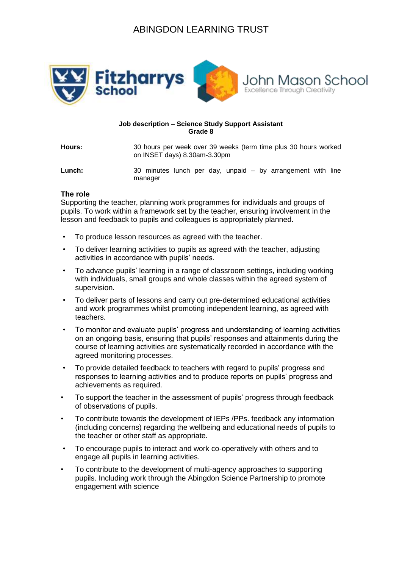# ABINGDON LEARNING TRUST



#### **Job description – Science Study Support Assistant Grade 8**

**Hours:** 30 hours per week over 39 weeks (term time plus 30 hours worked on INSET days) 8.30am-3.30pm

**Lunch:** 30 minutes lunch per day, unpaid – by arrangement with line manager

#### **The role**

Supporting the teacher, planning work programmes for individuals and groups of pupils. To work within a framework set by the teacher, ensuring involvement in the lesson and feedback to pupils and colleagues is appropriately planned.

- To produce lesson resources as agreed with the teacher.
- To deliver learning activities to pupils as agreed with the teacher, adjusting activities in accordance with pupils' needs.
- To advance pupils' learning in a range of classroom settings, including working with individuals, small groups and whole classes within the agreed system of supervision.
- To deliver parts of lessons and carry out pre-determined educational activities and work programmes whilst promoting independent learning, as agreed with teachers.
- To monitor and evaluate pupils' progress and understanding of learning activities on an ongoing basis, ensuring that pupils' responses and attainments during the course of learning activities are systematically recorded in accordance with the agreed monitoring processes.
- To provide detailed feedback to teachers with regard to pupils' progress and responses to learning activities and to produce reports on pupils' progress and achievements as required.
- To support the teacher in the assessment of pupils' progress through feedback of observations of pupils.
- To contribute towards the development of IEPs /PPs. feedback any information (including concerns) regarding the wellbeing and educational needs of pupils to the teacher or other staff as appropriate.
- To encourage pupils to interact and work co-operatively with others and to engage all pupils in learning activities.
- To contribute to the development of multi-agency approaches to supporting pupils. Including work through the Abingdon Science Partnership to promote engagement with science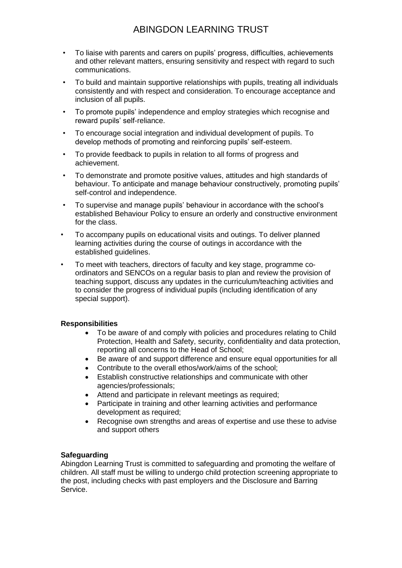## ABINGDON LEARNING TRUST

- To liaise with parents and carers on pupils' progress, difficulties, achievements and other relevant matters, ensuring sensitivity and respect with regard to such communications.
- To build and maintain supportive relationships with pupils, treating all individuals consistently and with respect and consideration. To encourage acceptance and inclusion of all pupils.
- To promote pupils' independence and employ strategies which recognise and reward pupils' self-reliance.
- To encourage social integration and individual development of pupils. To develop methods of promoting and reinforcing pupils' self-esteem.
- To provide feedback to pupils in relation to all forms of progress and achievement.
- To demonstrate and promote positive values, attitudes and high standards of behaviour. To anticipate and manage behaviour constructively, promoting pupils' self-control and independence.
- To supervise and manage pupils' behaviour in accordance with the school's established Behaviour Policy to ensure an orderly and constructive environment for the class.
- To accompany pupils on educational visits and outings. To deliver planned learning activities during the course of outings in accordance with the established guidelines.
- To meet with teachers, directors of faculty and key stage, programme coordinators and SENCOs on a regular basis to plan and review the provision of teaching support, discuss any updates in the curriculum/teaching activities and to consider the progress of individual pupils (including identification of any special support).

### **Responsibilities**

- To be aware of and comply with policies and procedures relating to Child Protection, Health and Safety, security, confidentiality and data protection, reporting all concerns to the Head of School;
- Be aware of and support difference and ensure equal opportunities for all
- Contribute to the overall ethos/work/aims of the school;
- Establish constructive relationships and communicate with other agencies/professionals;
- Attend and participate in relevant meetings as required;
- Participate in training and other learning activities and performance development as required;
- Recognise own strengths and areas of expertise and use these to advise and support others

### **Safeguarding**

Abingdon Learning Trust is committed to safeguarding and promoting the welfare of children. All staff must be willing to undergo child protection screening appropriate to the post, including checks with past employers and the Disclosure and Barring Service.